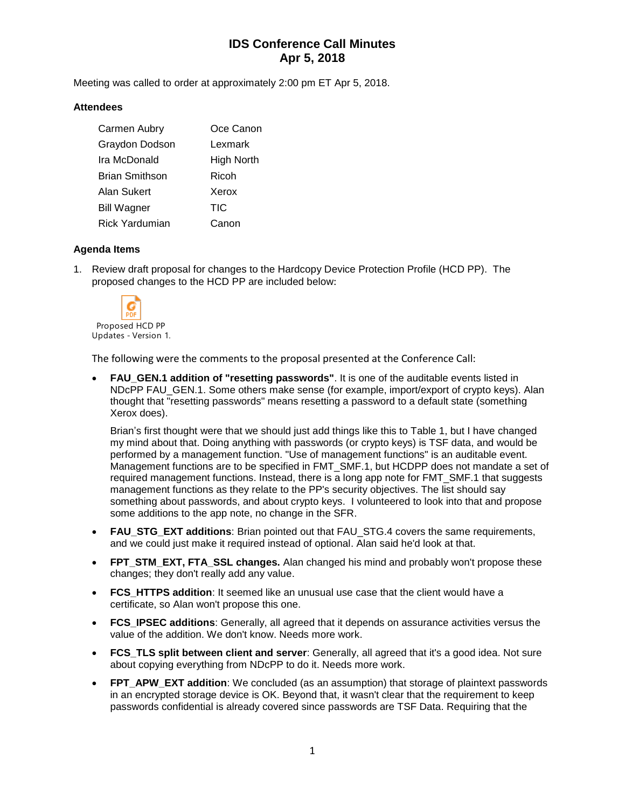# **IDS Conference Call Minutes Apr 5, 2018**

Meeting was called to order at approximately 2:00 pm ET Apr 5, 2018.

#### **Attendees**

| Carmen Aubry          | Oce Canon  |
|-----------------------|------------|
| Graydon Dodson        | Lexmark    |
| Ira McDonald          | High North |
| <b>Brian Smithson</b> | Ricoh      |
| Alan Sukert           | Xerox      |
| <b>Bill Wagner</b>    | TIC        |
| <b>Rick Yardumian</b> | Canon      |

### **Agenda Items**

1. Review draft proposal for changes to the Hardcopy Device Protection Profile (HCD PP). The proposed changes to the HCD PP are included below:



The following were the comments to the proposal presented at the Conference Call:

• **FAU\_GEN.1 addition of "resetting passwords"**. It is one of the auditable events listed in NDcPP FAU GEN.1. Some others make sense (for example, import/export of crypto keys). Alan thought that "resetting passwords" means resetting a password to a default state (something Xerox does).

Brian's first thought were that we should just add things like this to Table 1, but I have changed my mind about that. Doing anything with passwords (or crypto keys) is TSF data, and would be performed by a management function. "Use of management functions" is an auditable event. Management functions are to be specified in FMT\_SMF.1, but HCDPP does not mandate a set of required management functions. Instead, there is a long app note for FMT\_SMF.1 that suggests management functions as they relate to the PP's security objectives. The list should say something about passwords, and about crypto keys. I volunteered to look into that and propose some additions to the app note, no change in the SFR.

- **FAU STG EXT additions:** Brian pointed out that FAU STG.4 covers the same requirements, and we could just make it required instead of optional. Alan said he'd look at that.
- **FPT\_STM\_EXT, FTA\_SSL changes.** Alan changed his mind and probably won't propose these changes; they don't really add any value.
- **FCS HTTPS addition**: It seemed like an unusual use case that the client would have a certificate, so Alan won't propose this one.
- **FCS\_IPSEC additions**: Generally, all agreed that it depends on assurance activities versus the value of the addition. We don't know. Needs more work.
- **FCS TLS split between client and server**: Generally, all agreed that it's a good idea. Not sure about copying everything from NDcPP to do it. Needs more work.
- **FPT\_APW\_EXT addition**: We concluded (as an assumption) that storage of plaintext passwords in an encrypted storage device is OK. Beyond that, it wasn't clear that the requirement to keep passwords confidential is already covered since passwords are TSF Data. Requiring that the